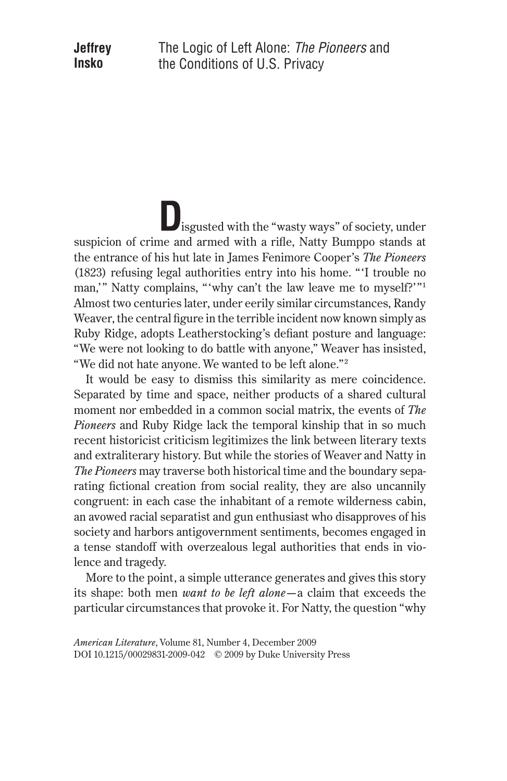# **Jeffrey Insko**

**D**isgusted with the "wasty ways" of society, under suspicion of crime and armed with a rifle, Natty Bumppo stands at the entrance of his hut late in James Fenimore Cooper's *The Pioneers* (1823) refusing legal authorities entry into his home. "'I trouble no man," Natty complains, "why can't the law leave me to myself?'"<sup>1</sup> Almost two centuries later, under eerily similar circumstances, Randy Weaver, the central figure in the terrible incident now known simply as Ruby Ridge, adopts Leatherstocking's defiant posture and language: "We were not looking to do battle with anyone," Weaver has insisted, "We did not hate anyone. We wanted to be left alone."2

It would be easy to dismiss this similarity as mere coincidence. Separated by time and space, neither products of a shared cultural moment nor embedded in a common social matrix, the events of *The Pioneers* and Ruby Ridge lack the temporal kinship that in so much recent historicist criticism legitimizes the link between literary texts and extraliterary history. But while the stories of Weaver and Natty in *The Pioneers* may traverse both historical time and the boundary separating fictional creation from social reality, they are also uncannily congruent: in each case the inhabitant of a remote wilderness cabin, an avowed racial separatist and gun enthusiast who disapproves of his society and harbors antigovernment sentiments, becomes engaged in a tense standoff with overzealous legal authorities that ends in violence and tragedy.

More to the point, a simple utterance generates and gives this story its shape: both men *want to be left alone*—a claim that exceeds the particular circumstances that provoke it. For Natty, the question "why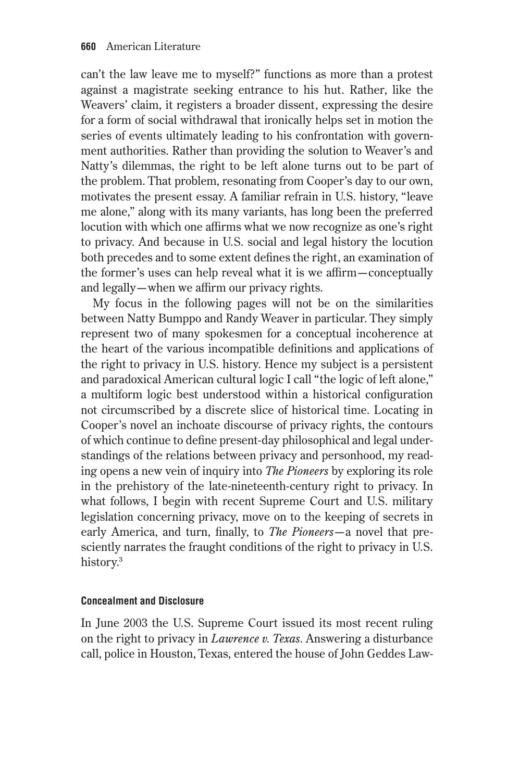can't the law leave me to myself?" functions as more than a protest against a magistrate seeking entrance to his hut. Rather, like the Weavers' claim, it registers a broader dissent, expressing the desire for a form of social withdrawal that ironically helps set in motion the series of events ultimately leading to his confrontation with government authorities. Rather than providing the solution to Weaver's and Natty's dilemmas, the right to be left alone turns out to be part of the problem. That problem, resonating from Cooper's day to our own, motivates the present essay. A familiar refrain in U.S. history, "leave me alone," along with its many variants, has long been the preferred locution with which one affirms what we now recognize as one's right to privacy. And because in U.S. social and legal history the locution both precedes and to some extent defines the right, an examination of the former's uses can help reveal what it is we affirm—conceptually and legally—when we affirm our privacy rights.

My focus in the following pages will not be on the similarities between Natty Bumppo and Randy Weaver in particular. They simply represent two of many spokesmen for a conceptual incoherence at the heart of the various incompatible definitions and applications of the right to privacy in U.S. history. Hence my subject is a persistent and paradoxical American cultural logic I call "the logic of left alone," a multiform logic best understood within a historical configuration not circumscribed by a discrete slice of historical time. Locating in Cooper's novel an inchoate discourse of privacy rights, the contours of which continue to define present-day philosophical and legal understandings of the relations between privacy and personhood, my reading opens a new vein of inquiry into *The Pioneers* by exploring its role in the prehistory of the late-nineteenth-century right to privacy. In what follows, I begin with recent Supreme Court and U.S. military legislation concerning privacy, move on to the keeping of secrets in early America, and turn, finally, to *The Pioneers* - a novel that presciently narrates the fraught conditions of the right to privacy in U.S. history.<sup>3</sup>

### **Concealment and Disclosure**

In June 2003 the U.S. Supreme Court issued its most recent ruling on the right to privacy in *Lawrence v. Texas*. Answering a disturbance call, police in Houston, Texas, entered the house of John Geddes Law-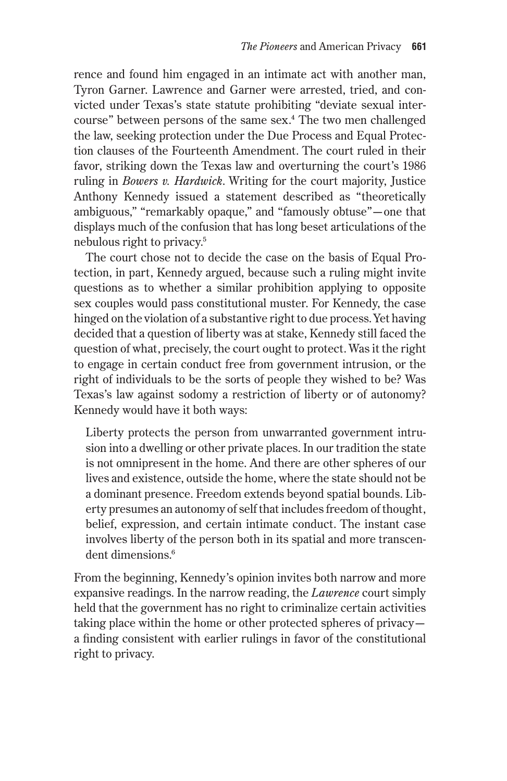rence and found him engaged in an intimate act with another man, Tyron Garner. Lawrence and Garner were arrested, tried, and convicted under Texas's state statute prohibiting "deviate sexual intercourse" between persons of the same sex.4 The two men challenged the law, seeking protection under the Due Process and Equal Protection clauses of the Fourteenth Amendment. The court ruled in their favor, striking down the Texas law and overturning the court's 1986 ruling in *Bowers v. Hardwick*. Writing for the court majority, Justice Anthony Kennedy issued a statement described as "theoretically ambiguous," "remarkably opaque," and "famously obtuse"—one that displays much of the confusion that has long beset articulations of the nebulous right to privacy.5

The court chose not to decide the case on the basis of Equal Protection, in part, Kennedy argued, because such a ruling might invite questions as to whether a similar prohibition applying to opposite sex couples would pass constitutional muster. For Kennedy, the case hinged on the violation of a substantive right to due process. Yet having decided that a question of liberty was at stake, Kennedy still faced the question of what, precisely, the court ought to protect. Was it the right to engage in certain conduct free from government intrusion, or the right of individuals to be the sorts of people they wished to be? Was Texas's law against sodomy a restriction of liberty or of autonomy? Kennedy would have it both ways:

Liberty protects the person from unwarranted government intrusion into a dwelling or other private places. In our tradition the state is not omnipresent in the home. And there are other spheres of our lives and existence, outside the home, where the state should not be a dominant presence. Freedom extends beyond spatial bounds. Liberty presumes an autonomy of self that includes freedom of thought, belief, expression, and certain intimate conduct. The instant case involves liberty of the person both in its spatial and more transcen $d$ ent dimensions<sup> $6$ </sup>

From the beginning, Kennedy's opinion invites both narrow and more expansive readings. In the narrow reading, the *Lawrence* court simply held that the government has no right to criminalize certain activities taking place within the home or other protected spheres of privacy a finding consistent with earlier rulings in favor of the constitutional right to privacy.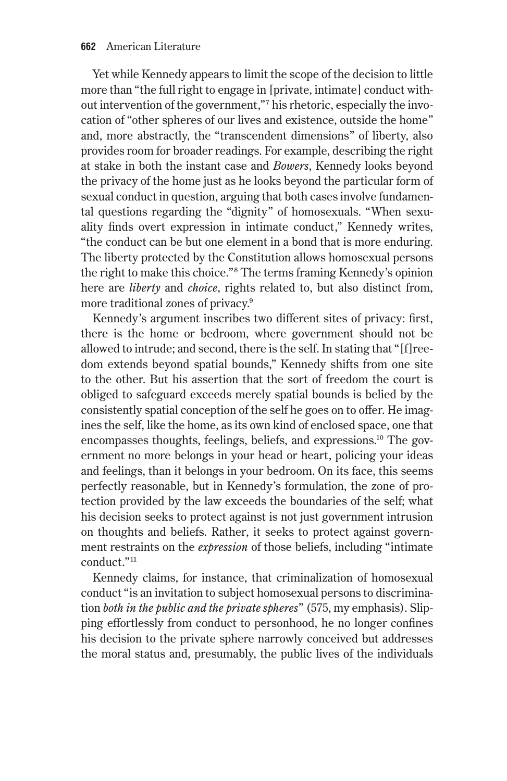Yet while Kennedy appears to limit the scope of the decision to little more than "the full right to engage in [private, intimate] conduct without intervention of the government,"7 his rhetoric, especially the invocation of "other spheres of our lives and existence, outside the home" and, more abstractly, the "transcendent dimensions" of liberty, also provides room for broader readings. For example, describing the right at stake in both the instant case and *Bowers*, Kennedy looks beyond the privacy of the home just as he looks beyond the particular form of sexual conduct in question, arguing that both cases involve fundamental questions regarding the "dignity" of homosexuals. "When sexuality finds overt expression in intimate conduct," Kennedy writes, "the conduct can be but one element in a bond that is more enduring. The liberty protected by the Constitution allows homosexual persons the right to make this choice."8 The terms framing Kennedy's opinion here are *liberty* and *choice*, rights related to, but also distinct from, more traditional zones of privacy.9

Kennedy's argument inscribes two different sites of privacy: first, there is the home or bedroom, where government should not be allowed to intrude; and second, there is the self. In stating that "[f]reedom extends beyond spatial bounds," Kennedy shifts from one site to the other. But his assertion that the sort of freedom the court is obliged to safeguard exceeds merely spatial bounds is belied by the consistently spatial conception of the self he goes on to offer. He imagines the self, like the home, as its own kind of enclosed space, one that encompasses thoughts, feelings, beliefs, and expressions.<sup>10</sup> The government no more belongs in your head or heart, policing your ideas and feelings, than it belongs in your bedroom. On its face, this seems perfectly reasonable, but in Kennedy's formulation, the zone of protection provided by the law exceeds the boundaries of the self; what his decision seeks to protect against is not just government intrusion on thoughts and beliefs. Rather, it seeks to protect against government restraints on the *expression* of those beliefs, including "intimate conduct."11

Kennedy claims, for instance, that criminalization of homosexual conduct "is an invitation to subject homosexual persons to discrimination *both in the public and the private spheres*" (575, my emphasis). Slipping effortlessly from conduct to personhood, he no longer confines his decision to the private sphere narrowly conceived but addresses the moral status and, presumably, the public lives of the individuals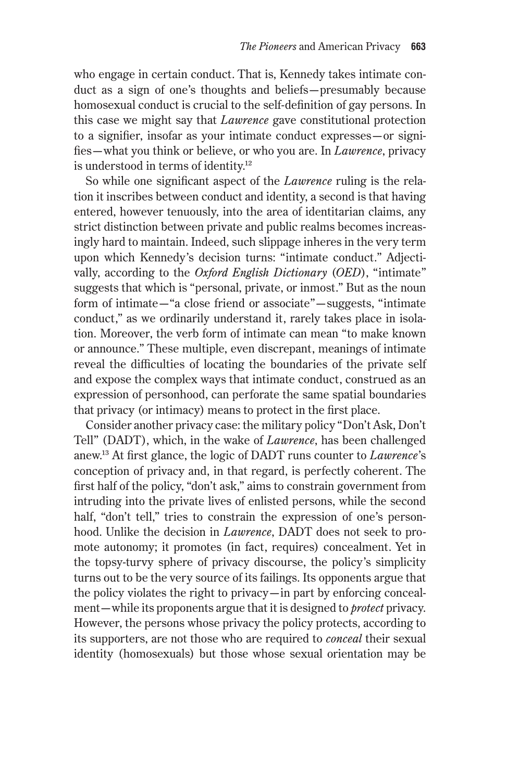who engage in certain conduct. That is, Kennedy takes intimate conduct as a sign of one's thoughts and beliefs—presumably because homosexual conduct is crucial to the self-definition of gay persons. In this case we might say that *Lawrence* gave constitutional protection to a signifier, insofar as your intimate conduct expresses—or signifies—what you think or believe, or who you are. In *Lawrence*, privacy is understood in terms of identity.<sup>12</sup>

So while one significant aspect of the *Lawrence* ruling is the relation it inscribes between conduct and identity, a second is that having entered, however tenuously, into the area of identitarian claims, any strict distinction between private and public realms becomes increasingly hard to maintain. Indeed, such slippage inheres in the very term upon which Kennedy's decision turns: "intimate conduct." Adjectivally, according to the *Oxford English Dictionary* (*OED*), "intimate" suggests that which is "personal, private, or inmost." But as the noun form of intimate—"a close friend or associate"—suggests, "intimate conduct," as we ordinarily understand it, rarely takes place in isolation. Moreover, the verb form of intimate can mean "to make known or announce." These multiple, even discrepant, meanings of intimate reveal the difficulties of locating the boundaries of the private self and expose the complex ways that intimate conduct, construed as an expression of personhood, can perforate the same spatial boundaries that privacy (or intimacy) means to protect in the first place.

Consider another privacy case: the military policy "Don't Ask, Don't Tell" (DADT), which, in the wake of *Lawrence*, has been challenged anew.<sup>13</sup> At first glance, the logic of DADT runs counter to *Lawrence*'s conception of privacy and, in that regard, is perfectly coherent. The first half of the policy, "don't ask," aims to constrain government from intruding into the private lives of enlisted persons, while the second half, "don't tell," tries to constrain the expression of one's personhood. Unlike the decision in *Lawrence*, DADT does not seek to promote autonomy; it promotes (in fact, requires) concealment. Yet in the topsy-turvy sphere of privacy discourse, the policy's simplicity turns out to be the very source of its failings. Its opponents argue that the policy violates the right to privacy—in part by enforcing concealment—while its proponents argue that it is designed to *protect* privacy. However, the persons whose privacy the policy protects, according to its supporters, are not those who are required to *conceal* their sexual identity (homosexuals) but those whose sexual orientation may be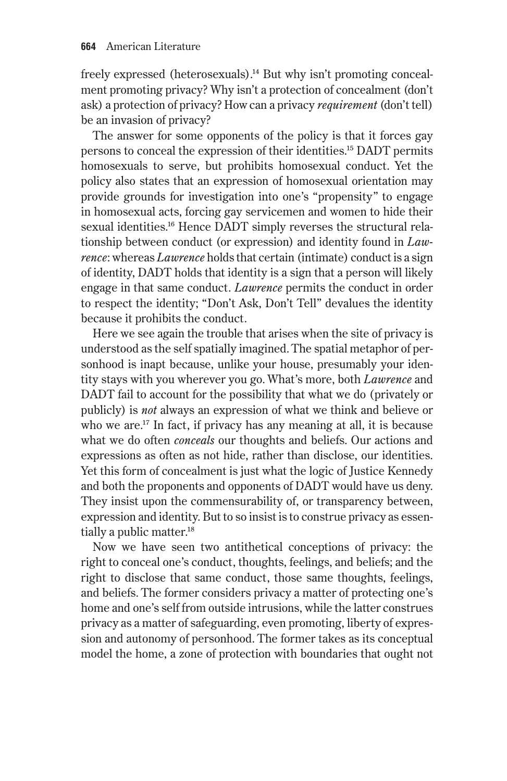freely expressed (heterosexuals).14 But why isn't promoting concealment promoting privacy? Why isn't a protection of concealment (don't ask) a protection of privacy? How can a privacy *requirement* (don't tell) be an invasion of privacy?

The answer for some opponents of the policy is that it forces gay persons to conceal the expression of their identities.15 DADT permits homosexuals to serve, but prohibits homosexual conduct. Yet the policy also states that an expression of homosexual orientation may provide grounds for investigation into one's "propensity" to engage in homosexual acts, forcing gay servicemen and women to hide their sexual identities.<sup>16</sup> Hence DADT simply reverses the structural relationship between conduct (or expression) and identity found in *Lawrence*: whereas *Lawrence* holds that certain (intimate) conduct is a sign of identity, DADT holds that identity is a sign that a person will likely engage in that same conduct. *Lawrence* permits the conduct in order to respect the identity; "Don't Ask, Don't Tell" devalues the identity because it prohibits the conduct.

Here we see again the trouble that arises when the site of privacy is understood as the self spatially imagined. The spatial metaphor of personhood is inapt because, unlike your house, presumably your identity stays with you wherever you go. What's more, both *Lawrence* and DADT fail to account for the possibility that what we do (privately or publicly) is *not* always an expression of what we think and believe or who we are.<sup>17</sup> In fact, if privacy has any meaning at all, it is because what we do often *conceals* our thoughts and beliefs. Our actions and expressions as often as not hide, rather than disclose, our identities. Yet this form of concealment is just what the logic of Justice Kennedy and both the proponents and opponents of DADT would have us deny. They insist upon the commensurability of, or transparency between, expression and identity. But to so insist is to construe privacy as essentially a public matter.<sup>18</sup>

Now we have seen two antithetical conceptions of privacy: the right to conceal one's conduct, thoughts, feelings, and beliefs; and the right to disclose that same conduct, those same thoughts, feelings, and beliefs. The former considers privacy a matter of protecting one's home and one's self from outside intrusions, while the latter construes privacy as a matter of safeguarding, even promoting, liberty of expression and autonomy of personhood. The former takes as its conceptual model the home, a zone of protection with boundaries that ought not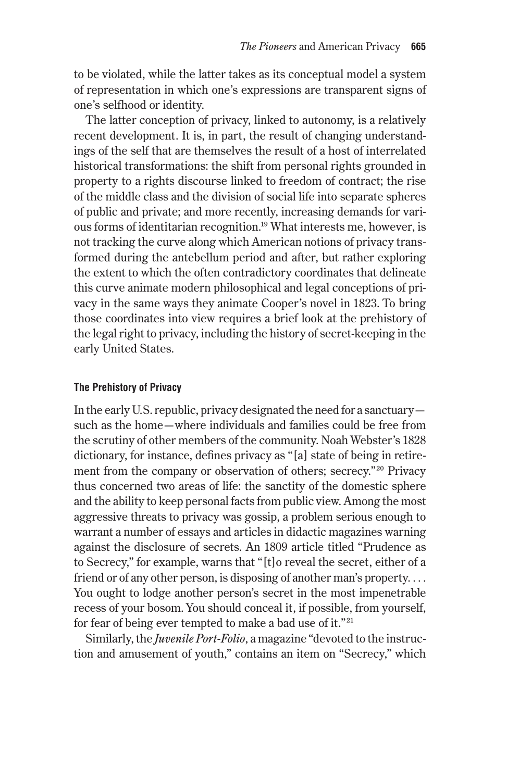to be violated, while the latter takes as its conceptual model a system of representation in which one's expressions are transparent signs of one's selfhood or identity.

The latter conception of privacy, linked to autonomy, is a relatively recent development. It is, in part, the result of changing understandings of the self that are themselves the result of a host of interrelated historical transformations: the shift from personal rights grounded in property to a rights discourse linked to freedom of contract; the rise of the middle class and the division of social life into separate spheres of public and private; and more recently, increasing demands for various forms of identitarian recognition.19 What interests me, however, is not tracking the curve along which American notions of privacy transformed during the antebellum period and after, but rather exploring the extent to which the often contradictory coordinates that delineate this curve animate modern philosophical and legal conceptions of privacy in the same ways they animate Cooper's novel in 1823. To bring those coordinates into view requires a brief look at the prehistory of the legal right to privacy, including the history of secret-keeping in the early United States.

#### **The Prehistory of Privacy**

In the early U.S. republic, privacy designated the need for a sanctuary such as the home—where individuals and families could be free from the scrutiny of other members of the community. Noah Webster's 1828 dictionary, for instance, defines privacy as "[a] state of being in retirement from the company or observation of others; secrecy."<sup>20</sup> Privacy thus concerned two areas of life: the sanctity of the domestic sphere and the ability to keep personal facts from public view. Among the most aggressive threats to privacy was gossip, a problem serious enough to warrant a number of essays and articles in didactic magazines warning against the disclosure of secrets. An 1809 article titled "Prudence as to Secrecy," for example, warns that "[t]o reveal the secret, either of a friend or of any other person, is disposing of another man's property.... You ought to lodge another person's secret in the most impenetrable recess of your bosom. You should conceal it, if possible, from yourself, for fear of being ever tempted to make a bad use of it."21

Similarly, the *Juvenile Port-Folio*, a magazine "devoted to the instruction and amusement of youth," contains an item on "Secrecy," which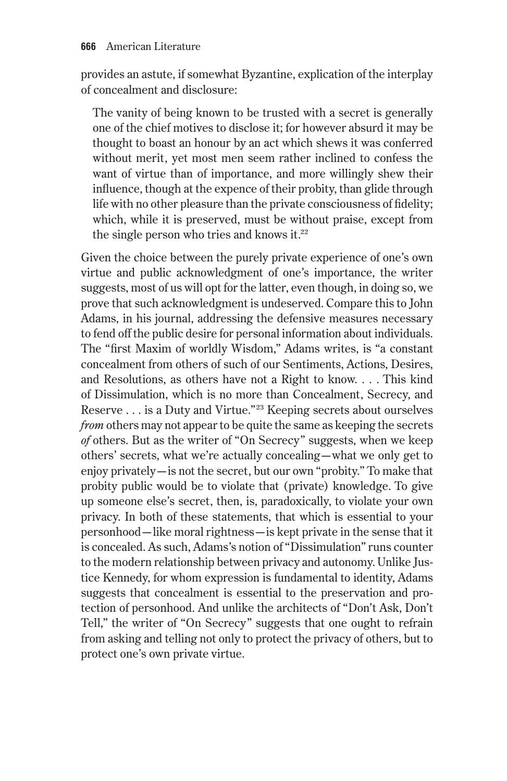provides an astute, if somewhat Byzantine, explication of the interplay of concealment and disclosure:

The vanity of being known to be trusted with a secret is generally one of the chief motives to disclose it; for however absurd it may be thought to boast an honour by an act which shews it was conferred without merit, yet most men seem rather inclined to confess the want of virtue than of importance, and more willingly shew their influence, though at the expence of their probity, than glide through life with no other pleasure than the private consciousness of fidelity; which, while it is preserved, must be without praise, except from the single person who tries and knows it. $22$ 

Given the choice between the purely private experience of one's own virtue and public acknowledgment of one's importance, the writer suggests, most of us will opt for the latter, even though, in doing so, we prove that such acknowledgment is undeserved. Compare this to John Adams, in his journal, addressing the defensive measures necessary to fend off the public desire for personal information about individuals. The "first Maxim of worldly Wisdom," Adams writes, is "a constant concealment from others of such of our Sentiments, Actions, Desires, and Resolutions, as others have not a Right to know. . . . This kind of Dissimulation, which is no more than Concealment, Secrecy, and Reserve . . . is a Duty and Virtue."23 Keeping secrets about ourselves *from* others may not appear to be quite the same as keeping the secrets *of* others. But as the writer of "On Secrecy" suggests, when we keep others' secrets, what we're actually concealing—what we only get to enjoy privately—is not the secret, but our own "probity." To make that probity public would be to violate that (private) knowledge. To give up someone else's secret, then, is, paradoxically, to violate your own privacy. In both of these statements, that which is essential to your personhood—like moral rightness—is kept private in the sense that it is concealed. As such, Adams's notion of "Dissimulation" runs counter to the modern relationship between privacy and autonomy. Unlike Justice Kennedy, for whom expression is fundamental to identity, Adams suggests that concealment is essential to the preservation and protection of personhood. And unlike the architects of "Don't Ask, Don't Tell," the writer of "On Secrecy" suggests that one ought to refrain from asking and telling not only to protect the privacy of others, but to protect one's own private virtue.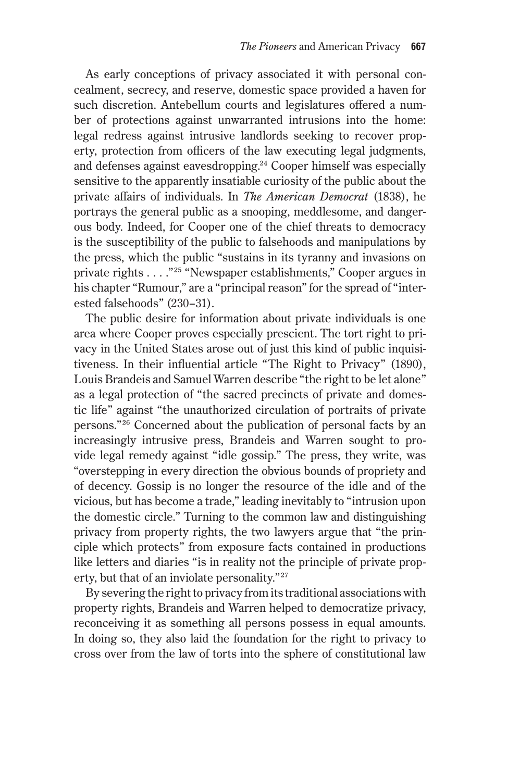As early conceptions of privacy associated it with personal concealment, secrecy, and reserve, domestic space provided a haven for such discretion. Antebellum courts and legislatures offered a number of protections against unwarranted intrusions into the home: legal redress against intrusive landlords seeking to recover property, protection from officers of the law executing legal judgments, and defenses against eavesdropping.<sup>24</sup> Cooper himself was especially sensitive to the apparently insatiable curiosity of the public about the private affairs of individuals. In *The American Democrat* (1838), he portrays the general public as a snooping, meddlesome, and dangerous body. Indeed, for Cooper one of the chief threats to democracy is the susceptibility of the public to falsehoods and manipulations by the press, which the public "sustains in its tyranny and invasions on private rights . . . ."25 "Newspaper establishments," Cooper argues in his chapter "Rumour," are a "principal reason" for the spread of "interested falsehoods" (230–31).

The public desire for information about private individuals is one area where Cooper proves especially prescient. The tort right to privacy in the United States arose out of just this kind of public inquisitiveness. In their influential article "The Right to Privacy" (1890), Louis Brandeis and Samuel Warren describe "the right to be let alone" as a legal protection of "the sacred precincts of private and domestic life" against "the unauthorized circulation of portraits of private persons."26 Concerned about the publication of personal facts by an increasingly intrusive press, Brandeis and Warren sought to provide legal remedy against "idle gossip." The press, they write, was "overstepping in every direction the obvious bounds of propriety and of decency. Gossip is no longer the resource of the idle and of the vicious, but has become a trade," leading inevitably to "intrusion upon the domestic circle." Turning to the common law and distinguishing privacy from property rights, the two lawyers argue that "the principle which protects" from exposure facts contained in productions like letters and diaries "is in reality not the principle of private property, but that of an inviolate personality."27

By severing the right to privacy from its traditional associations with property rights, Brandeis and Warren helped to democratize privacy, reconceiving it as something all persons possess in equal amounts. In doing so, they also laid the foundation for the right to privacy to cross over from the law of torts into the sphere of constitutional law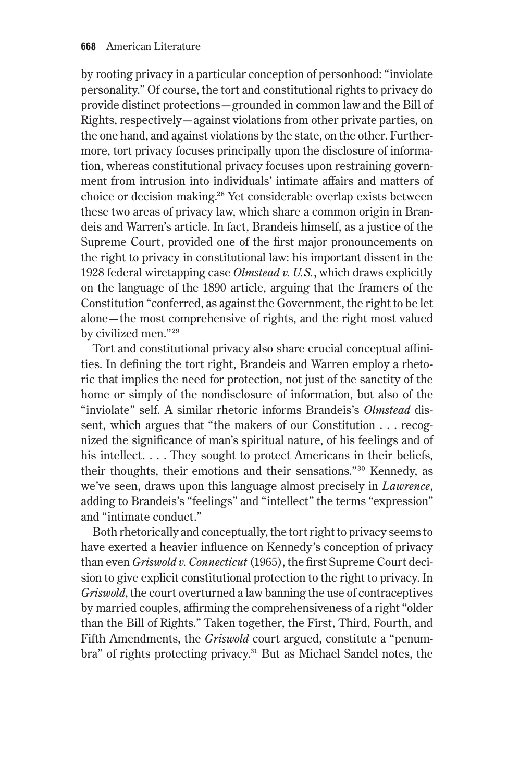by rooting privacy in a particular conception of personhood: "inviolate personality." Of course, the tort and constitutional rights to privacy do provide distinct protections—grounded in common law and the Bill of Rights, respectively—against violations from other private parties, on the one hand, and against violations by the state, on the other. Furthermore, tort privacy focuses principally upon the disclosure of information, whereas constitutional privacy focuses upon restraining government from intrusion into individuals' intimate affairs and matters of choice or decision making.28 Yet considerable overlap exists between these two areas of privacy law, which share a common origin in Brandeis and Warren's article. In fact, Brandeis himself, as a justice of the Supreme Court, provided one of the first major pronouncements on the right to privacy in constitutional law: his important dissent in the 1928 federal wiretapping case *Olmstead v. U.S.*, which draws explicitly on the language of the 1890 article, arguing that the framers of the Constitution "conferred, as against the Government, the right to be let alone—the most comprehensive of rights, and the right most valued by civilized men."29

Tort and constitutional privacy also share crucial conceptual affinities. In defining the tort right, Brandeis and Warren employ a rhetoric that implies the need for protection, not just of the sanctity of the home or simply of the nondisclosure of information, but also of the "inviolate" self. A similar rhetoric informs Brandeis's *Olmstead* dissent, which argues that "the makers of our Constitution . . . recognized the significance of man's spiritual nature, of his feelings and of his intellect. . . . They sought to protect Americans in their beliefs, their thoughts, their emotions and their sensations."30 Kennedy, as we've seen, draws upon this language almost precisely in *Lawrence*, adding to Brandeis's "feelings" and "intellect" the terms "expression" and "intimate conduct."

Both rhetorically and conceptually, the tort right to privacy seems to have exerted a heavier influence on Kennedy's conception of privacy than even *Griswold v. Connecticut* (1965), the first Supreme Court decision to give explicit constitutional protection to the right to privacy. In *Griswold*, the court overturned a law banning the use of contraceptives by married couples, affirming the comprehensiveness of a right "older" than the Bill of Rights." Taken together, the First, Third, Fourth, and Fifth Amendments, the *Griswold* court argued, constitute a "penumbra" of rights protecting privacy.<sup>31</sup> But as Michael Sandel notes, the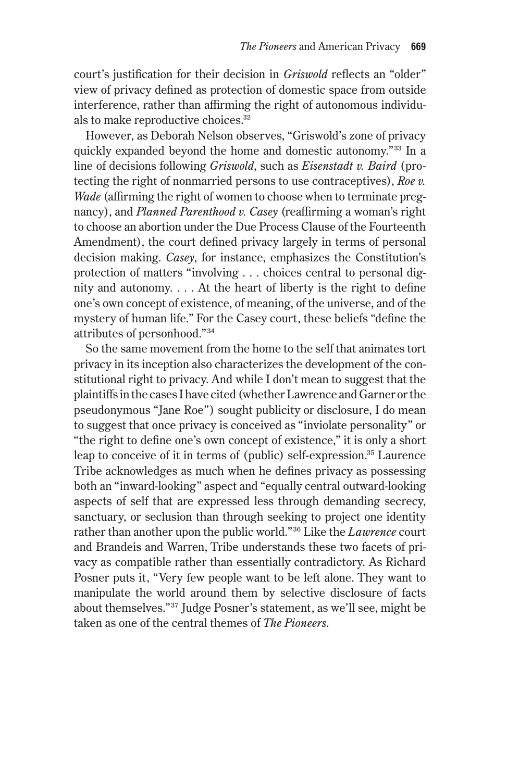court's justification for their decision in *Griswold* reflects an "older" view of privacy defined as protection of domestic space from outside interference, rather than affirming the right of autonomous individuals to make reproductive choices.<sup>32</sup>

However, as Deborah Nelson observes, "Griswold's zone of privacy quickly expanded beyond the home and domestic autonomy."33 In a line of decisions following *Griswold*, such as *Eisenstadt v. Baird* (protecting the right of nonmarried persons to use contraceptives), *Roe v. Wade* (affirming the right of women to choose when to terminate pregnancy), and *Planned Parenthood v. Casey* (reaffirming a woman's right to choose an abortion under the Due Process Clause of the Fourteenth Amendment), the court defined privacy largely in terms of personal decision making. *Casey*, for instance, emphasizes the Constitution's protection of matters "involving . . . choices central to personal dignity and autonomy.  $\ldots$  At the heart of liberty is the right to define one's own concept of existence, of meaning, of the universe, and of the mystery of human life." For the Casey court, these beliefs "define the attributes of personhood."34

So the same movement from the home to the self that animates tort privacy in its inception also characterizes the development of the constitutional right to privacy. And while I don't mean to suggest that the plaintiffs in the cases I have cited (whether Lawrence and Garner or the pseudonymous "Jane Roe" ) sought publicity or disclosure, I do mean to suggest that once privacy is conceived as "inviolate personality" or "the right to define one's own concept of existence," it is only a short leap to conceive of it in terms of (public) self-expression.<sup>35</sup> Laurence Tribe acknowledges as much when he defines privacy as possessing both an "inward-looking" aspect and "equally central outward-looking aspects of self that are expressed less through demanding secrecy, sanctuary, or seclusion than through seeking to project one identity rather than another upon the public world."36 Like the *Lawrence* court and Brandeis and Warren, Tribe understands these two facets of privacy as compatible rather than essentially contradictory. As Richard Posner puts it, "Very few people want to be left alone. They want to manipulate the world around them by selective disclosure of facts about themselves."37 Judge Posner's statement, as we'll see, might be taken as one of the central themes of *The Pioneers*.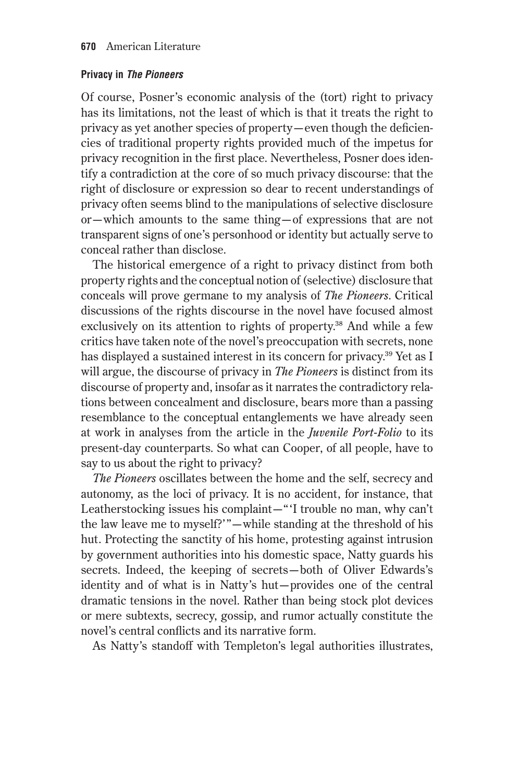#### **Privacy in** *The Pioneers*

Of course, Posner's economic analysis of the (tort) right to privacy has its limitations, not the least of which is that it treats the right to privacy as yet another species of property—even though the deficiencies of traditional property rights provided much of the impetus for privacy recognition in the first place. Nevertheless, Posner does identify a contradiction at the core of so much privacy discourse: that the right of disclosure or expression so dear to recent understandings of privacy often seems blind to the manipulations of selective disclosure or—which amounts to the same thing—of expressions that are not transparent signs of one's personhood or identity but actually serve to conceal rather than disclose.

The historical emergence of a right to privacy distinct from both property rights and the conceptual notion of (selective) disclosure that conceals will prove germane to my analysis of *The Pioneers*. Critical discussions of the rights discourse in the novel have focused almost exclusively on its attention to rights of property.<sup>38</sup> And while a few critics have taken note of the novel's preoccupation with secrets, none has displayed a sustained interest in its concern for privacy.<sup>39</sup> Yet as I will argue, the discourse of privacy in *The Pioneers* is distinct from its discourse of property and, insofar as it narrates the contradictory relations between concealment and disclosure, bears more than a passing resemblance to the conceptual entanglements we have already seen at work in analyses from the article in the *Juvenile Port-Folio* to its present-day counterparts. So what can Cooper, of all people, have to say to us about the right to privacy?

*The Pioneers* oscillates between the home and the self, secrecy and autonomy, as the loci of privacy. It is no accident, for instance, that Leatherstocking issues his complaint—"'I trouble no man, why can't the law leave me to myself?'"—while standing at the threshold of his hut. Protecting the sanctity of his home, protesting against intrusion by government authorities into his domestic space, Natty guards his secrets. Indeed, the keeping of secrets—both of Oliver Edwards's identity and of what is in Natty's hut—provides one of the central dramatic tensions in the novel. Rather than being stock plot devices or mere subtexts, secrecy, gossip, and rumor actually constitute the novel's central conflicts and its narrative form.

As Natty's standoff with Templeton's legal authorities illustrates,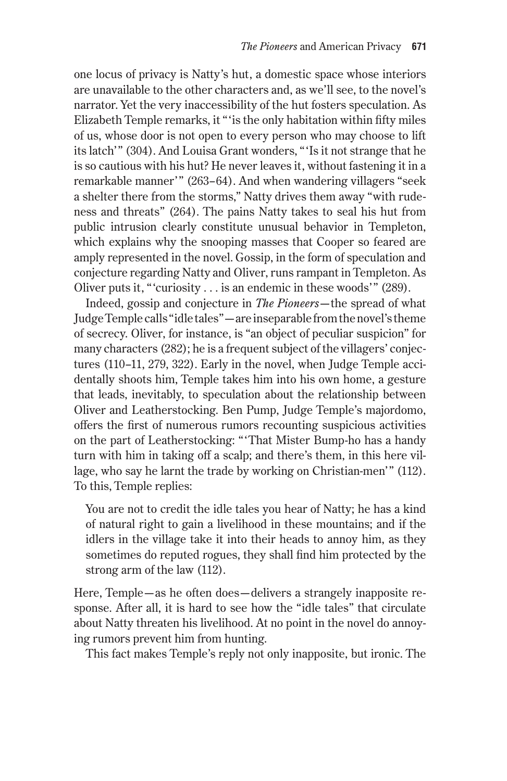one locus of privacy is Natty's hut, a domestic space whose interiors are unavailable to the other characters and, as we'll see, to the novel's narrator. Yet the very inaccessibility of the hut fosters speculation. As Elizabeth Temple remarks, it "' is the only habitation within fifty miles of us, whose door is not open to every person who may choose to lift its latch'" (304). And Louisa Grant wonders, "'Is it not strange that he is so cautious with his hut? He never leaves it, without fastening it in a remarkable manner'" (263–64). And when wandering villagers "seek a shelter there from the storms," Natty drives them away "with rudeness and threats" (264). The pains Natty takes to seal his hut from public intrusion clearly constitute unusual behavior in Templeton, which explains why the snooping masses that Cooper so feared are amply represented in the novel. Gossip, in the form of speculation and conjecture regarding Natty and Oliver, runs rampant in Templeton. As Oliver puts it, "'curiosity . . . is an endemic in these woods'" (289).

Indeed, gossip and conjecture in *The Pioneers*—the spread of what Judge Temple calls "idle tales"—are inseparable from the novel's theme of secrecy. Oliver, for instance, is "an object of peculiar suspicion" for many characters (282); he is a frequent subject of the villagers' conjectures (110–11, 279, 322). Early in the novel, when Judge Temple accidentally shoots him, Temple takes him into his own home, a gesture that leads, inevitably, to speculation about the relationship between Oliver and Leatherstocking. Ben Pump, Judge Temple's majordomo, offers the first of numerous rumors recounting suspicious activities on the part of Leatherstocking: "'That Mister Bump-ho has a handy turn with him in taking off a scalp; and there's them, in this here village, who say he larnt the trade by working on Christian-men'" (112). To this, Temple replies:

You are not to credit the idle tales you hear of Natty; he has a kind of natural right to gain a livelihood in these mountains; and if the idlers in the village take it into their heads to annoy him, as they sometimes do reputed rogues, they shall find him protected by the strong arm of the law (112).

Here, Temple—as he often does—delivers a strangely inapposite response. After all, it is hard to see how the "idle tales" that circulate about Natty threaten his livelihood. At no point in the novel do annoying rumors prevent him from hunting.

This fact makes Temple's reply not only inapposite, but ironic. The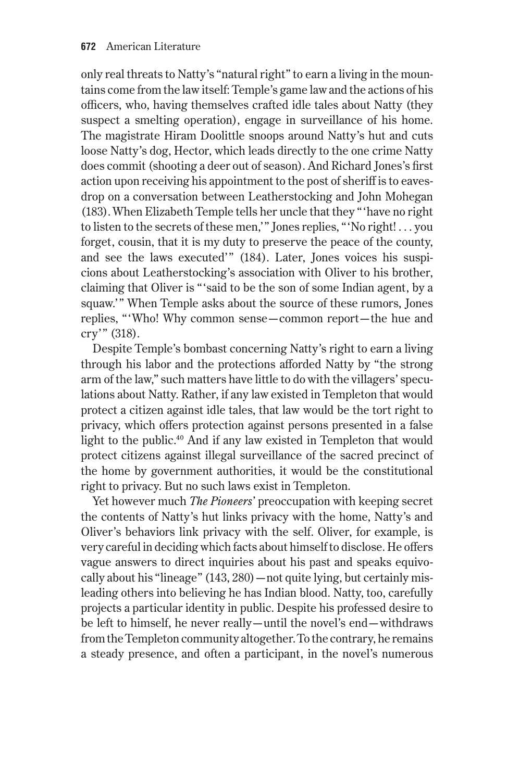only real threats to Natty's "natural right" to earn a living in the mountains come from the law itself: Temple's game law and the actions of his officers, who, having themselves crafted idle tales about Natty (they suspect a smelting operation), engage in surveillance of his home. The magistrate Hiram Doolittle snoops around Natty's hut and cuts loose Natty's dog, Hector, which leads directly to the one crime Natty does commit (shooting a deer out of season). And Richard Jones's first action upon receiving his appointment to the post of sheriff is to eavesdrop on a conversation between Leatherstocking and John Mohegan (183). When Elizabeth Temple tells her uncle that they "'have no right to listen to the secrets of these men,'" Jones replies, "'No right! . . . you forget, cousin, that it is my duty to preserve the peace of the county, and see the laws executed'" (184). Later, Jones voices his suspicions about Leatherstocking's association with Oliver to his brother, claiming that Oliver is "'said to be the son of some Indian agent, by a squaw.'" When Temple asks about the source of these rumors, Jones replies, "'Who! Why common sense—common report—the hue and cry'" (318).

Despite Temple's bombast concerning Natty's right to earn a living through his labor and the protections afforded Natty by "the strong arm of the law," such matters have little to do with the villagers' speculations about Natty. Rather, if any law existed in Templeton that would protect a citizen against idle tales, that law would be the tort right to privacy, which offers protection against persons presented in a false light to the public.40 And if any law existed in Templeton that would protect citizens against illegal surveillance of the sacred precinct of the home by government authorities, it would be the constitutional right to privacy. But no such laws exist in Templeton.

Yet however much *The Pioneers*' preoccupation with keeping secret the contents of Natty's hut links privacy with the home, Natty's and Oliver's behaviors link privacy with the self. Oliver, for example, is very careful in deciding which facts about himself to disclose. He offers vague answers to direct inquiries about his past and speaks equivocally about his "lineage" (143, 280)—not quite lying, but certainly misleading others into believing he has Indian blood. Natty, too, carefully projects a particular identity in public. Despite his professed desire to be left to himself, he never really—until the novel's end—withdraws from the Templeton community altogether. To the contrary, he remains a steady presence, and often a participant, in the novel's numerous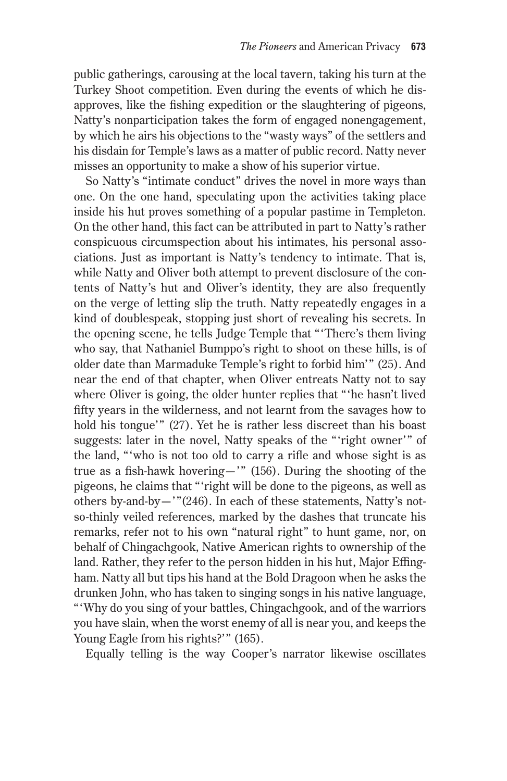public gatherings, carousing at the local tavern, taking his turn at the Turkey Shoot competition. Even during the events of which he disapproves, like the fishing expedition or the slaughtering of pigeons, Natty's nonparticipation takes the form of engaged nonengagement, by which he airs his objections to the "wasty ways" of the settlers and his disdain for Temple's laws as a matter of public record. Natty never misses an opportunity to make a show of his superior virtue.

So Natty's "intimate conduct" drives the novel in more ways than one. On the one hand, speculating upon the activities taking place inside his hut proves something of a popular pastime in Templeton. On the other hand, this fact can be attributed in part to Natty's rather conspicuous circumspection about his intimates, his personal associations. Just as important is Natty's tendency to intimate. That is, while Natty and Oliver both attempt to prevent disclosure of the contents of Natty's hut and Oliver's identity, they are also frequently on the verge of letting slip the truth. Natty repeatedly engages in a kind of doublespeak, stopping just short of revealing his secrets. In the opening scene, he tells Judge Temple that "'There's them living who say, that Nathaniel Bumppo's right to shoot on these hills, is of older date than Marmaduke Temple's right to forbid him'" (25). And near the end of that chapter, when Oliver entreats Natty not to say where Oliver is going, the older hunter replies that "'he hasn't lived fifty years in the wilderness, and not learnt from the savages how to hold his tongue'" (27). Yet he is rather less discreet than his boast suggests: later in the novel, Natty speaks of the "'right owner'" of the land, "who is not too old to carry a rifle and whose sight is as true as a fish-hawk hovering—'" (156). During the shooting of the pigeons, he claims that "'right will be done to the pigeons, as well as others by-and-by—'"(246). In each of these statements, Natty's notso-thinly veiled references, marked by the dashes that truncate his remarks, refer not to his own "natural right" to hunt game, nor, on behalf of Chingachgook, Native American rights to ownership of the land. Rather, they refer to the person hidden in his hut, Major Effingham. Natty all but tips his hand at the Bold Dragoon when he asks the drunken John, who has taken to singing songs in his native language, "'Why do you sing of your battles, Chingachgook, and of the warriors you have slain, when the worst enemy of all is near you, and keeps the Young Eagle from his rights?'" (165).

Equally telling is the way Cooper's narrator likewise oscillates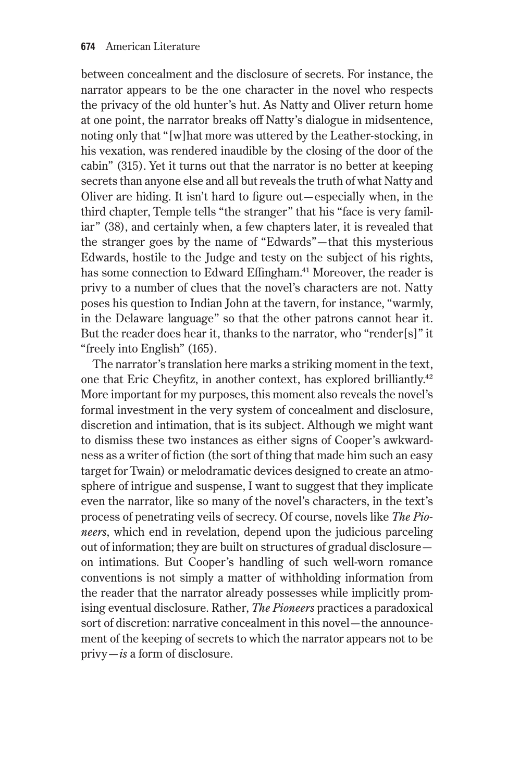between concealment and the disclosure of secrets. For instance, the narrator appears to be the one character in the novel who respects the privacy of the old hunter's hut. As Natty and Oliver return home at one point, the narrator breaks off Natty's dialogue in midsentence, noting only that "[w]hat more was uttered by the Leather-stocking, in his vexation, was rendered inaudible by the closing of the door of the cabin" (315). Yet it turns out that the narrator is no better at keeping secrets than anyone else and all but reveals the truth of what Natty and Oliver are hiding. It isn't hard to figure out—especially when, in the third chapter, Temple tells "the stranger" that his "face is very familiar" (38), and certainly when, a few chapters later, it is revealed that the stranger goes by the name of "Edwards"—that this mysterious Edwards, hostile to the Judge and testy on the subject of his rights, has some connection to Edward Effingham.<sup>41</sup> Moreover, the reader is privy to a number of clues that the novel's characters are not. Natty poses his question to Indian John at the tavern, for instance, "warmly, in the Delaware language" so that the other patrons cannot hear it. But the reader does hear it, thanks to the narrator, who "render[s]" it "freely into English" (165).

The narrator's translation here marks a striking moment in the text, one that Eric Cheyfitz, in another context, has explored brilliantly.<sup>42</sup> More important for my purposes, this moment also reveals the novel's formal investment in the very system of concealment and disclosure, discretion and intimation, that is its subject. Although we might want to dismiss these two instances as either signs of Cooper's awkwardness as a writer of fiction (the sort of thing that made him such an easy target for Twain) or melodramatic devices designed to create an atmosphere of intrigue and suspense, I want to suggest that they implicate even the narrator, like so many of the novel's characters, in the text's process of penetrating veils of secrecy. Of course, novels like *The Pioneers*, which end in revelation, depend upon the judicious parceling out of information; they are built on structures of gradual disclosure on intimations. But Cooper's handling of such well-worn romance conventions is not simply a matter of withholding information from the reader that the narrator already possesses while implicitly promising eventual disclosure. Rather, *The Pioneers* practices a paradoxical sort of discretion: narrative concealment in this novel—the announcement of the keeping of secrets to which the narrator appears not to be privy—*is* a form of disclosure.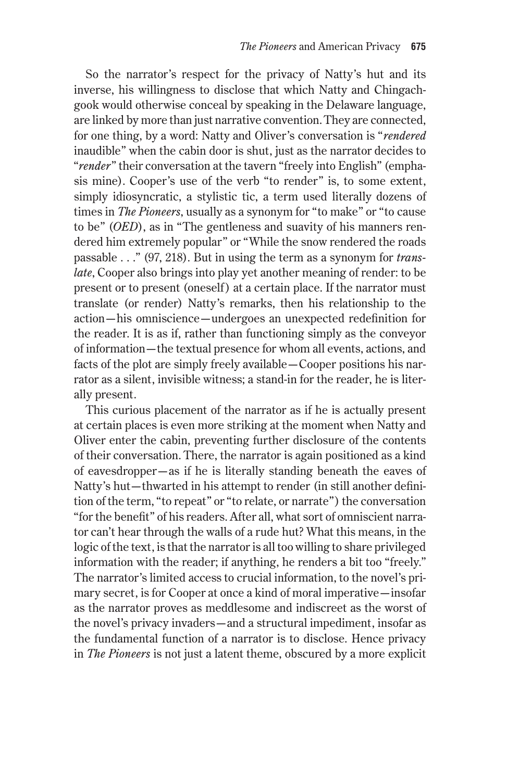So the narrator's respect for the privacy of Natty's hut and its inverse, his willingness to disclose that which Natty and Chingachgook would otherwise conceal by speaking in the Delaware language, are linked by more than just narrative convention. They are connected, for one thing, by a word: Natty and Oliver's conversation is "*rendered* inaudible" when the cabin door is shut, just as the narrator decides to "*render*" their conversation at the tavern "freely into English" (emphasis mine). Cooper's use of the verb "to render" is, to some extent, simply idiosyncratic, a stylistic tic, a term used literally dozens of times in *The Pioneers*, usually as a synonym for "to make" or "to cause to be" (*OED*), as in "The gentleness and suavity of his manners rendered him extremely popular" or "While the snow rendered the roads passable . . ." (97, 218). But in using the term as a synonym for *translate*, Cooper also brings into play yet another meaning of render: to be present or to present (oneself) at a certain place. If the narrator must translate (or render) Natty's remarks, then his relationship to the action—his omniscience—undergoes an unexpected redefinition for the reader. It is as if, rather than functioning simply as the conveyor of information—the textual presence for whom all events, actions, and facts of the plot are simply freely available—Cooper positions his narrator as a silent, invisible witness; a stand-in for the reader, he is literally present.

This curious placement of the narrator as if he is actually present at certain places is even more striking at the moment when Natty and Oliver enter the cabin, preventing further disclosure of the contents of their conversation. There, the narrator is again positioned as a kind of eavesdropper—as if he is literally standing beneath the eaves of Natty's hut—thwarted in his attempt to render (in still another definition of the term, "to repeat" or "to relate, or narrate" ) the conversation "for the benefit" of his readers. After all, what sort of omniscient narrator can't hear through the walls of a rude hut? What this means, in the logic of the text, is that the narrator is all too willing to share privileged information with the reader; if anything, he renders a bit too "freely." The narrator's limited access to crucial information, to the novel's primary secret, is for Cooper at once a kind of moral imperative—insofar as the narrator proves as meddlesome and indiscreet as the worst of the novel's privacy invaders—and a structural impediment, insofar as the fundamental function of a narrator is to disclose. Hence privacy in *The Pioneers* is not just a latent theme, obscured by a more explicit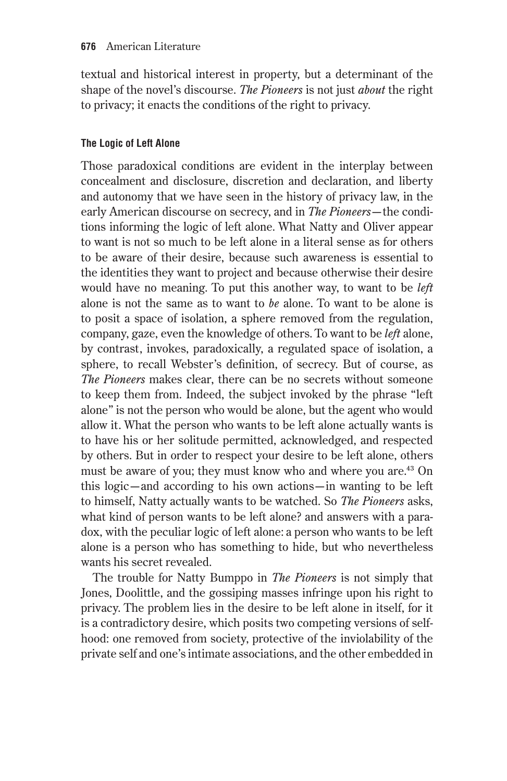textual and historical interest in property, but a determinant of the shape of the novel's discourse. *The Pioneers* is not just *about* the right to privacy; it enacts the conditions of the right to privacy.

## **The Logic of Left Alone**

Those paradoxical conditions are evident in the interplay between concealment and disclosure, discretion and declaration, and liberty and autonomy that we have seen in the history of privacy law, in the early American discourse on secrecy, and in *The Pioneers*—the conditions informing the logic of left alone. What Natty and Oliver appear to want is not so much to be left alone in a literal sense as for others to be aware of their desire, because such awareness is essential to the identities they want to project and because otherwise their desire would have no meaning. To put this another way, to want to be *left* alone is not the same as to want to *be* alone. To want to be alone is to posit a space of isolation, a sphere removed from the regulation, company, gaze, even the knowledge of others. To want to be *left* alone, by contrast, invokes, paradoxically, a regulated space of isolation, a sphere, to recall Webster's definition, of secrecy. But of course, as *The Pioneers* makes clear, there can be no secrets without someone to keep them from. Indeed, the subject invoked by the phrase "left alone" is not the person who would be alone, but the agent who would allow it. What the person who wants to be left alone actually wants is to have his or her solitude permitted, acknowledged, and respected by others. But in order to respect your desire to be left alone, others must be aware of you; they must know who and where you are.<sup>43</sup> On this logic—and according to his own actions—in wanting to be left to himself, Natty actually wants to be watched. So *The Pioneers* asks, what kind of person wants to be left alone? and answers with a paradox, with the peculiar logic of left alone: a person who wants to be left alone is a person who has something to hide, but who nevertheless wants his secret revealed.

The trouble for Natty Bumppo in *The Pioneers* is not simply that Jones, Doolittle, and the gossiping masses infringe upon his right to privacy. The problem lies in the desire to be left alone in itself, for it is a contradictory desire, which posits two competing versions of selfhood: one removed from society, protective of the inviolability of the private self and one's intimate associations, and the other embedded in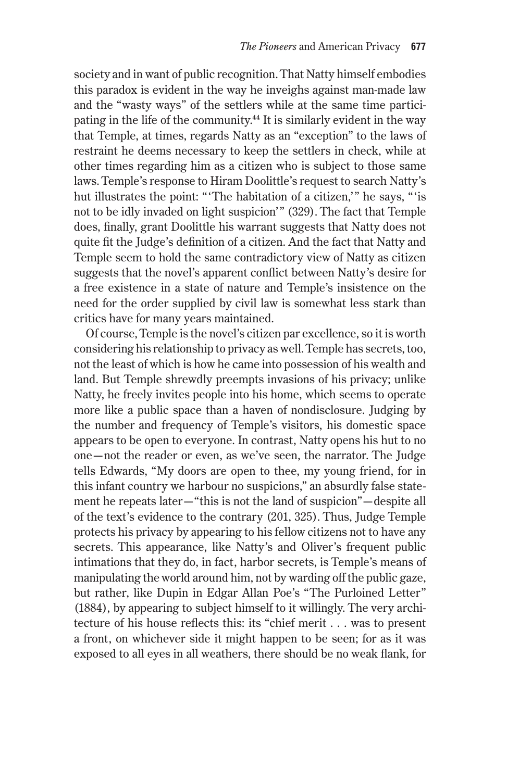society and in want of public recognition. That Natty himself embodies this paradox is evident in the way he inveighs against man-made law and the "wasty ways" of the settlers while at the same time participating in the life of the community.44 It is similarly evident in the way that Temple, at times, regards Natty as an "exception" to the laws of restraint he deems necessary to keep the settlers in check, while at other times regarding him as a citizen who is subject to those same laws. Temple's response to Hiram Doolittle's request to search Natty's hut illustrates the point: "'The habitation of a citizen,'" he says, "'is not to be idly invaded on light suspicion'" (329). The fact that Temple does, finally, grant Doolittle his warrant suggests that Natty does not quite fit the Judge's definition of a citizen. And the fact that Natty and Temple seem to hold the same contradictory view of Natty as citizen suggests that the novel's apparent conflict between Natty's desire for a free existence in a state of nature and Temple's insistence on the need for the order supplied by civil law is somewhat less stark than critics have for many years maintained.

Of course, Temple is the novel's citizen par excellence, so it is worth considering his relationship to privacy as well. Temple has secrets, too, not the least of which is how he came into possession of his wealth and land. But Temple shrewdly preempts invasions of his privacy; unlike Natty, he freely invites people into his home, which seems to operate more like a public space than a haven of nondisclosure. Judging by the number and frequency of Temple's visitors, his domestic space appears to be open to everyone. In contrast, Natty opens his hut to no one—not the reader or even, as we've seen, the narrator. The Judge tells Edwards, "My doors are open to thee, my young friend, for in this infant country we harbour no suspicions," an absurdly false statement he repeats later—"this is not the land of suspicion"—despite all of the text's evidence to the contrary (201, 325). Thus, Judge Temple protects his privacy by appearing to his fellow citizens not to have any secrets. This appearance, like Natty's and Oliver's frequent public intimations that they do, in fact, harbor secrets, is Temple's means of manipulating the world around him, not by warding off the public gaze, but rather, like Dupin in Edgar Allan Poe's "The Purloined Letter" (1884), by appearing to subject himself to it willingly. The very architecture of his house reflects this: its "chief merit . . . was to present a front, on whichever side it might happen to be seen; for as it was exposed to all eyes in all weathers, there should be no weak flank, for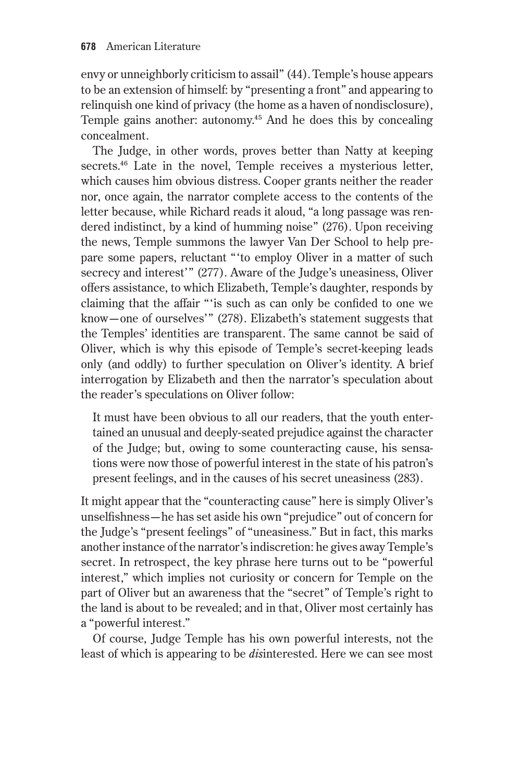envy or unneighborly criticism to assail" (44). Temple's house appears to be an extension of himself: by "presenting a front" and appearing to relinquish one kind of privacy (the home as a haven of nondisclosure), Temple gains another: autonomy.<sup>45</sup> And he does this by concealing concealment.

The Judge, in other words, proves better than Natty at keeping secrets.<sup>46</sup> Late in the novel, Temple receives a mysterious letter, which causes him obvious distress. Cooper grants neither the reader nor, once again, the narrator complete access to the contents of the letter because, while Richard reads it aloud, "a long passage was rendered indistinct, by a kind of humming noise" (276). Upon receiving the news, Temple summons the lawyer Van Der School to help prepare some papers, reluctant "'to employ Oliver in a matter of such secrecy and interest'" (277). Aware of the Judge's uneasiness, Oliver offers assistance, to which Elizabeth, Temple's daughter, responds by claiming that the affair "'is such as can only be confided to one we know—one of ourselves'" (278). Elizabeth's statement suggests that the Temples' identities are transparent. The same cannot be said of Oliver, which is why this episode of Temple's secret-keeping leads only (and oddly) to further speculation on Oliver's identity. A brief interrogation by Elizabeth and then the narrator's speculation about the reader's speculations on Oliver follow:

It must have been obvious to all our readers, that the youth entertained an unusual and deeply-seated prejudice against the character of the Judge; but, owing to some counteracting cause, his sensations were now those of powerful interest in the state of his patron's present feelings, and in the causes of his secret uneasiness (283).

It might appear that the "counteracting cause" here is simply Oliver's unselfishness—he has set aside his own "prejudice" out of concern for the Judge's "present feelings" of "uneasiness." But in fact, this marks another instance of the narrator's indiscretion: he gives away Temple's secret. In retrospect, the key phrase here turns out to be "powerful interest," which implies not curiosity or concern for Temple on the part of Oliver but an awareness that the "secret" of Temple's right to the land is about to be revealed; and in that, Oliver most certainly has a "powerful interest."

Of course, Judge Temple has his own powerful interests, not the least of which is appearing to be *dis*interested. Here we can see most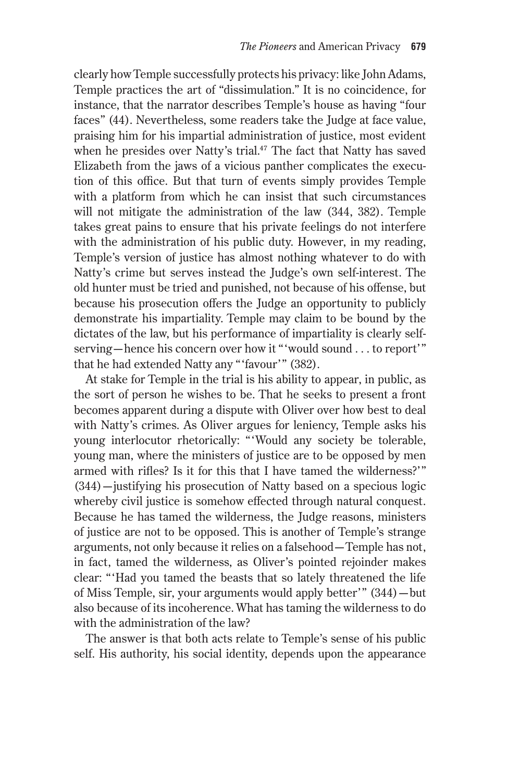clearly how Temple successfully protects his privacy: like John Adams, Temple practices the art of "dissimulation." It is no coincidence, for instance, that the narrator describes Temple's house as having "four faces" (44). Nevertheless, some readers take the Judge at face value, praising him for his impartial administration of justice, most evident when he presides over Natty's trial.<sup>47</sup> The fact that Natty has saved Elizabeth from the jaws of a vicious panther complicates the execution of this office. But that turn of events simply provides Temple with a platform from which he can insist that such circumstances will not mitigate the administration of the law (344, 382). Temple takes great pains to ensure that his private feelings do not interfere with the administration of his public duty. However, in my reading, Temple's version of justice has almost nothing whatever to do with Natty's crime but serves instead the Judge's own self-interest. The old hunter must be tried and punished, not because of his offense, but because his prosecution offers the Judge an opportunity to publicly demonstrate his impartiality. Temple may claim to be bound by the dictates of the law, but his performance of impartiality is clearly selfserving—hence his concern over how it "'would sound . . . to report'" that he had extended Natty any "'favour'" (382).

At stake for Temple in the trial is his ability to appear, in public, as the sort of person he wishes to be. That he seeks to present a front becomes apparent during a dispute with Oliver over how best to deal with Natty's crimes. As Oliver argues for leniency, Temple asks his young interlocutor rhetorically: "'Would any society be tolerable, young man, where the ministers of justice are to be opposed by men armed with rifles? Is it for this that I have tamed the wilderness?" (344)—justifying his prosecution of Natty based on a specious logic whereby civil justice is somehow effected through natural conquest. Because he has tamed the wilderness, the Judge reasons, ministers of justice are not to be opposed. This is another of Temple's strange arguments, not only because it relies on a falsehood—Temple has not, in fact, tamed the wilderness, as Oliver's pointed rejoinder makes clear: "'Had you tamed the beasts that so lately threatened the life of Miss Temple, sir, your arguments would apply better'" (344)—but also because of its incoherence. What has taming the wilderness to do with the administration of the law?

The answer is that both acts relate to Temple's sense of his public self. His authority, his social identity, depends upon the appearance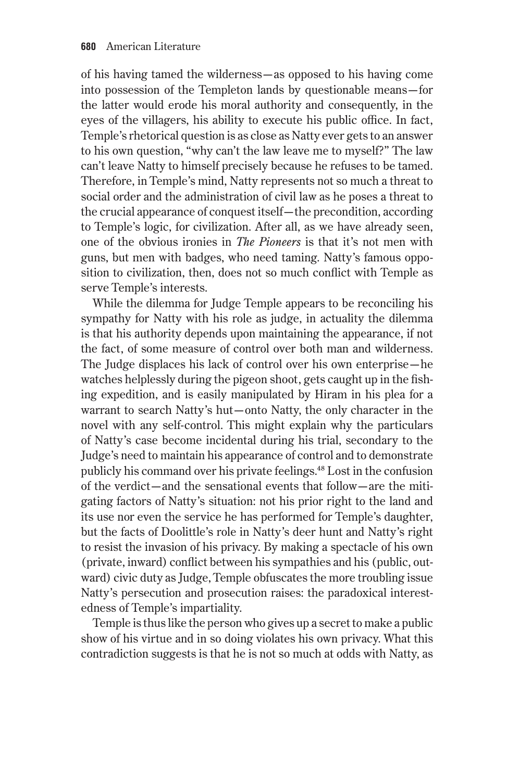of his having tamed the wilderness—as opposed to his having come into possession of the Templeton lands by questionable means—for the latter would erode his moral authority and consequently, in the eyes of the villagers, his ability to execute his public office. In fact, Temple's rhetorical question is as close as Natty ever gets to an answer to his own question, "why can't the law leave me to myself?" The law can't leave Natty to himself precisely because he refuses to be tamed. Therefore, in Temple's mind, Natty represents not so much a threat to social order and the administration of civil law as he poses a threat to the crucial appearance of conquest itself—the precondition, according to Temple's logic, for civilization. After all, as we have already seen, one of the obvious ironies in *The Pioneers* is that it's not men with guns, but men with badges, who need taming. Natty's famous opposition to civilization, then, does not so much conflict with Temple as serve Temple's interests.

While the dilemma for Judge Temple appears to be reconciling his sympathy for Natty with his role as judge, in actuality the dilemma is that his authority depends upon maintaining the appearance, if not the fact, of some measure of control over both man and wilderness. The Judge displaces his lack of control over his own enterprise—he watches helplessly during the pigeon shoot, gets caught up in the fishing expedition, and is easily manipulated by Hiram in his plea for a warrant to search Natty's hut—onto Natty, the only character in the novel with any self-control. This might explain why the particulars of Natty's case become incidental during his trial, secondary to the Judge's need to maintain his appearance of control and to demonstrate publicly his command over his private feelings.48 Lost in the confusion of the verdict—and the sensational events that follow—are the mitigating factors of Natty's situation: not his prior right to the land and its use nor even the service he has performed for Temple's daughter, but the facts of Doolittle's role in Natty's deer hunt and Natty's right to resist the invasion of his privacy. By making a spectacle of his own (private, inward) conflict between his sympathies and his (public, outward) civic duty as Judge, Temple obfuscates the more troubling issue Natty's persecution and prosecution raises: the paradoxical interestedness of Temple's impartiality.

Temple is thus like the person who gives up a secret to make a public show of his virtue and in so doing violates his own privacy. What this contradiction suggests is that he is not so much at odds with Natty, as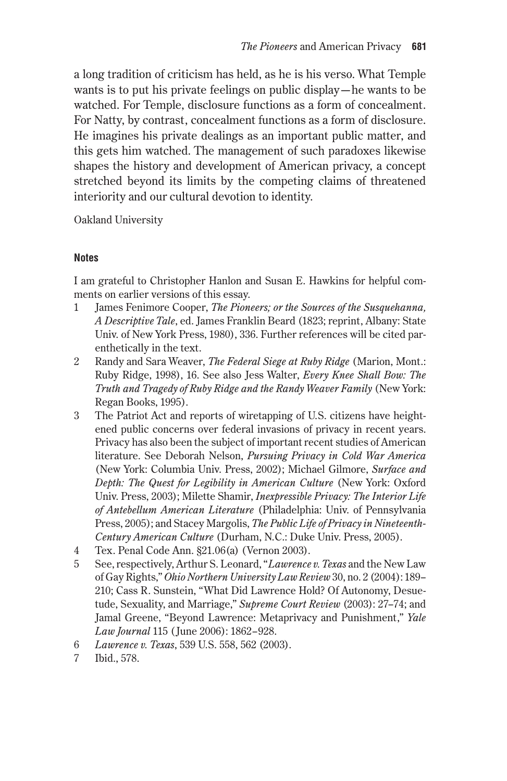a long tradition of criticism has held, as he is his verso. What Temple wants is to put his private feelings on public display—he wants to be watched. For Temple, disclosure functions as a form of concealment. For Natty, by contrast, concealment functions as a form of disclosure. He imagines his private dealings as an important public matter, and this gets him watched. The management of such paradoxes likewise shapes the history and development of American privacy, a concept stretched beyond its limits by the competing claims of threatened interiority and our cultural devotion to identity.

Oakland University

#### **Notes**

I am grateful to Christopher Hanlon and Susan E. Hawkins for helpful comments on earlier versions of this essay.

- 1 James Fenimore Cooper, *The Pioneers; or the Sources of the Susquehanna, A Descriptive Tale*, ed. James Franklin Beard (1823; reprint, Albany: State Univ. of New York Press, 1980), 336. Further references will be cited parenthetically in the text.
- 2 Randy and Sara Weaver, *The Federal Siege at Ruby Ridge* (Marion, Mont.: Ruby Ridge, 1998), 16. See also Jess Walter, *Every Knee Shall Bow: The Truth and Tragedy of Ruby Ridge and the Randy Weaver Family* (New York: Regan Books, 1995).
- 3 The Patriot Act and reports of wiretapping of U.S. citizens have heightened public concerns over federal invasions of privacy in recent years. Privacy has also been the subject of important recent studies of American literature. See Deborah Nelson, *Pursuing Privacy in Cold War America* (New York: Columbia Univ. Press, 2002); Michael Gilmore, *Surface and Depth: The Quest for Legibility in American Culture* (New York: Oxford Univ. Press, 2003); Milette Shamir, *Inexpressible Privacy: The Interior Life of Antebellum American Literature* (Philadelphia: Univ. of Pennsylvania Press, 2005); and Stacey Margolis, *The Public Life of Privacy in Nineteenth-Century American Culture* (Durham, N.C.: Duke Univ. Press, 2005).
- 4 Tex. Penal Code Ann. §21.06(a) (Vernon 2003).
- 5 See, respectively, Arthur S. Leonard, "*Lawrence v. Texas* and the New Law of Gay Rights," *Ohio Northern University Law Review*30, no. 2 (2004): 189– 210; Cass R. Sunstein, "What Did Lawrence Hold? Of Autonomy, Desuetude, Sexuality, and Marriage," *Supreme Court Review* (2003): 27–74; and Jamal Greene, "Beyond Lawrence: Metaprivacy and Punishment," *Yale Law Journal* 115 ( June 2006): 1862–928.
- 6 *Lawrence v. Texas*, 539 U.S. 558, 562 (2003).
- 7 Ibid., 578.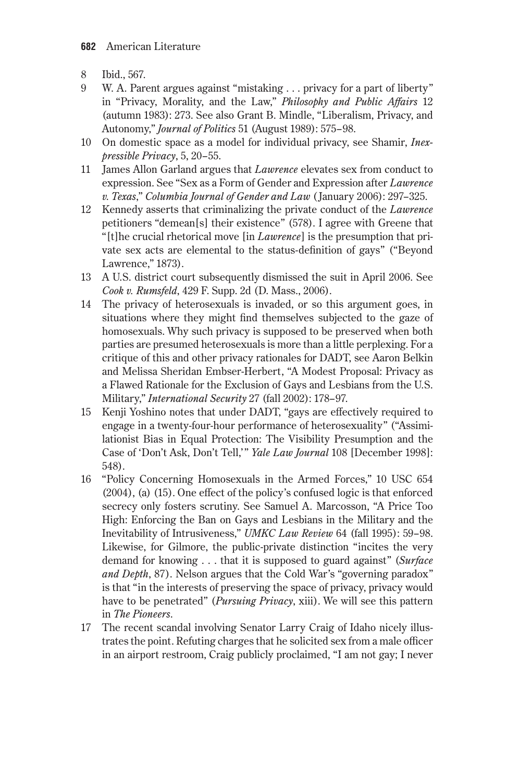- 8 Ibid., 567.
- 9 W. A. Parent argues against "mistaking . . . privacy for a part of liberty" in "Privacy, Morality, and the Law," Philosophy and Public Affairs 12 (autumn 1983): 273. See also Grant B. Mindle, "Liberalism, Privacy, and Autonomy," *Journal of Politics* 51 (August 1989): 575–98.
- 10 On domestic space as a model for individual privacy, see Shamir, *Inexpressible Privacy*, 5, 20–55.
- 11 James Allon Garland argues that *Lawrence* elevates sex from conduct to expression. See "Sex as a Form of Gender and Expression after *Lawrence v. Texas*," *Columbia Journal of Gender and Law* ( January 2006): 297–325.
- 12 Kennedy asserts that criminalizing the private conduct of the *Lawrence* petitioners "demean[s] their existence" (578). I agree with Greene that "[t]he crucial rhetorical move [in *Lawrence*] is the presumption that private sex acts are elemental to the status-definition of gays" ("Beyond Lawrence," 1873).
- 13 A U.S. district court subsequently dismissed the suit in April 2006. See *Cook v. Rumsfeld*, 429 F. Supp. 2d (D. Mass., 2006).
- 14 The privacy of heterosexuals is invaded, or so this argument goes, in situations where they might find themselves subjected to the gaze of homosexuals. Why such privacy is supposed to be preserved when both parties are presumed heterosexuals is more than a little perplexing. For a critique of this and other privacy rationales for DADT, see Aaron Belkin and Melissa Sheridan Embser-Herbert, "A Modest Proposal: Privacy as a Flawed Rationale for the Exclusion of Gays and Lesbians from the U.S. Military," *International Security* 27 (fall 2002): 178–97.
- 15 Kenji Yoshino notes that under DADT, "gays are effectively required to engage in a twenty-four-hour performance of heterosexuality" ("Assimilationist Bias in Equal Protection: The Visibility Presumption and the Case of 'Don't Ask, Don't Tell,'" *Yale Law Journal* 108 [December 1998]: 548).
- 16 "Policy Concerning Homosexuals in the Armed Forces," 10 USC 654  $(2004)$ , (a)  $(15)$ . One effect of the policy's confused logic is that enforced secrecy only fosters scrutiny. See Samuel A. Marcosson, "A Price Too High: Enforcing the Ban on Gays and Lesbians in the Military and the Inevitability of Intrusiveness," *UMKC Law Review* 64 (fall 1995): 59–98. Likewise, for Gilmore, the public-private distinction "incites the very demand for knowing . . . that it is supposed to guard against" (*Surface and Depth*, 87). Nelson argues that the Cold War's "governing paradox" is that "in the interests of preserving the space of privacy, privacy would have to be penetrated" (*Pursuing Privacy*, xiii). We will see this pattern in *The Pioneers*.
- 17 The recent scandal involving Senator Larry Craig of Idaho nicely illustrates the point. Refuting charges that he solicited sex from a male officer in an airport restroom, Craig publicly proclaimed, "I am not gay; I never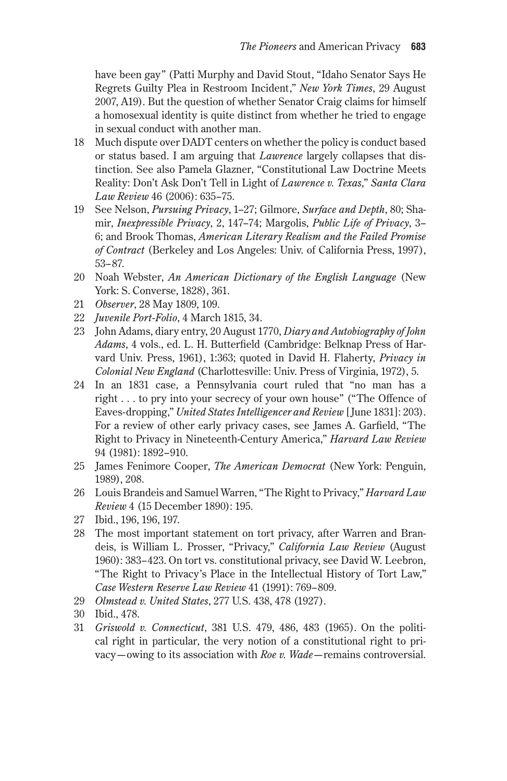have been gay" (Patti Murphy and David Stout, "Idaho Senator Says He Regrets Guilty Plea in Restroom Incident," *New York Times*, 29 August 2007, A19). But the question of whether Senator Craig claims for himself a homosexual identity is quite distinct from whether he tried to engage in sexual conduct with another man.

- 18 Much dispute over DADT centers on whether the policy is conduct based or status based. I am arguing that *Lawrence* largely collapses that distinction. See also Pamela Glazner, "Constitutional Law Doctrine Meets Reality: Don't Ask Don't Tell in Light of *Lawrence v. Texas*," *Santa Clara Law Review* 46 (2006): 635–75.
- 19 See Nelson, *Pursuing Privacy*, 1–27; Gilmore, *Surface and Depth*, 80; Shamir, *Inexpressible Privacy*, 2, 147–74; Margolis, *Public Life of Privacy*, 3– 6; and Brook Thomas, *American Literary Realism and the Failed Promise of Contract* (Berkeley and Los Angeles: Univ. of California Press, 1997), 53–87.
- 20 Noah Webster, *An American Dictionary of the English Language* (New York: S. Converse, 1828), 361.
- 21 *Observer*, 28 May 1809, 109.
- 22 *Juvenile Port-Folio*, 4 March 1815, 34.
- 23 John Adams, diary entry, 20 August 1770, *Diary and Autobiography of John*  Adams, 4 vols., ed. L. H. Butterfield (Cambridge: Belknap Press of Harvard Univ. Press, 1961), 1:363; quoted in David H. Flaherty, *Privacy in Colonial New England* (Charlottesville: Univ. Press of Virginia, 1972), 5.
- 24 In an 1831 case, a Pennsylvania court ruled that "no man has a right  $\dots$  to pry into your secrecy of your own house" ("The Offence of Eaves-dropping," *United States Intelligencer and Review* [June 1831]: 203). For a review of other early privacy cases, see James A. Garfield, "The Right to Privacy in Nineteenth-Century America," *Harvard Law Review* 94 (1981): 1892–910.
- 25 James Fenimore Cooper, *The American Democrat* (New York: Penguin, 1989), 208.
- 26 Louis Brandeis and Samuel Warren, "The Right to Privacy," *Harvard Law Review* 4 (15 December 1890): 195.
- 27 Ibid., 196, 196, 197.
- 28 The most important statement on tort privacy, after Warren and Brandeis, is William L. Prosser, "Privacy," *California Law Review* (August 1960): 383–423. On tort vs. constitutional privacy, see David W. Leebron, "The Right to Privacy's Place in the Intellectual History of Tort Law," *Case Western Reserve Law Review* 41 (1991): 769–809.
- 29 *Olmstead v. United States*, 277 U.S. 438, 478 (1927).
- 30 Ibid., 478.
- 31 *Griswold v. Connecticut*, 381 U.S. 479, 486, 483 (1965). On the political right in particular, the very notion of a constitutional right to privacy—owing to its association with *Roe v. Wade*—remains controversial.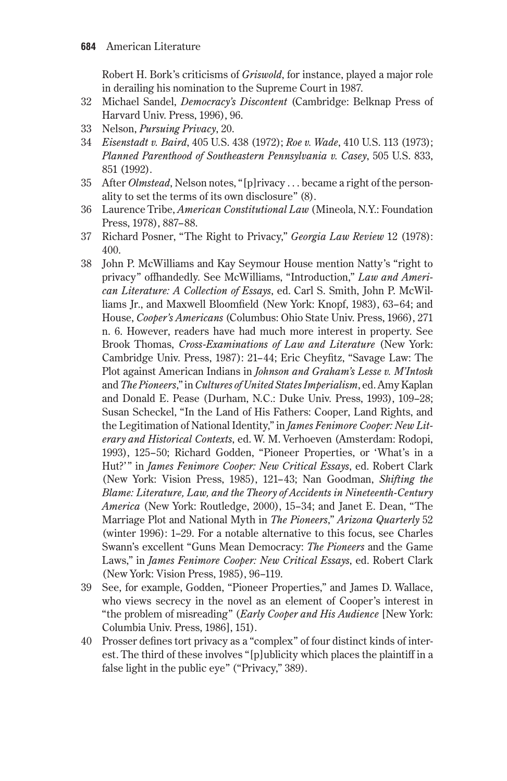Robert H. Bork's criticisms of *Griswold*, for instance, played a major role in derailing his nomination to the Supreme Court in 1987.

- 32 Michael Sandel, *Democracy's Discontent* (Cambridge: Belknap Press of Harvard Univ. Press, 1996), 96.
- 33 Nelson, *Pursuing Privacy*, 20.
- 34 *Eisenstadt v. Baird*, 405 U.S. 438 (1972); *Roe v. Wade*, 410 U.S. 113 (1973); *Planned Parenthood of Southeastern Pennsylvania v. Casey*, 505 U.S. 833, 851 (1992).
- 35 After *Olmstead*, Nelson notes, "[p]rivacy . . . became a right of the personality to set the terms of its own disclosure" (8).
- 36 Laurence Tribe, *American Constitutional Law* (Mineola, N.Y.: Foundation Press, 1978), 887–88.
- 37 Richard Posner, "The Right to Privacy," *Georgia Law Review* 12 (1978): 400.
- 38 John P. McWilliams and Kay Seymour House mention Natty's "right to privacy" offhandedly. See McWilliams, "Introduction," Law and Ameri*can Literature: A Collection of Essays*, ed. Carl S. Smith, John P. McWilliams Jr., and Maxwell Bloomfield (New York: Knopf, 1983), 63–64; and House, *Cooper's Americans* (Columbus: Ohio State Univ. Press, 1966), 271 n. 6. However, readers have had much more interest in property. See Brook Thomas, *Cross-Examinations of Law and Literature* (New York: Cambridge Univ. Press, 1987): 21–44; Eric Cheyfitz, "Savage Law: The Plot against American Indians in *Johnson and Graham's Lesse v. M'Intosh* and *The Pioneers*," in *Cultures of United States Imperialism*, ed. Amy Kaplan and Donald E. Pease (Durham, N.C.: Duke Univ. Press, 1993), 109–28; Susan Scheckel, "In the Land of His Fathers: Cooper, Land Rights, and the Legitimation of National Identity," in *James Fenimore Cooper: New Literary and Historical Contexts*, ed. W. M. Verhoeven (Amsterdam: Rodopi, 1993), 125–50; Richard Godden, "Pioneer Properties, or 'What's in a Hut?'" in *James Fenimore Cooper: New Critical Essays*, ed. Robert Clark (New York: Vision Press, 1985), 121–43; Nan Goodman, *Shifting the Blame: Literature, Law, and the Theory of Accidents in Nineteenth-Century America* (New York: Routledge, 2000), 15–34; and Janet E. Dean, "The Marriage Plot and National Myth in *The Pioneers*," *Arizona Quarterly* 52 (winter 1996): 1–29. For a notable alternative to this focus, see Charles Swann's excellent "Guns Mean Democracy: *The Pioneers* and the Game Laws," in *James Fenimore Cooper: New Critical Essays*, ed. Robert Clark (New York: Vision Press, 1985), 96–119.
- 39 See, for example, Godden, "Pioneer Properties," and James D. Wallace, who views secrecy in the novel as an element of Cooper's interest in "the problem of misreading" (*Early Cooper and His Audience* [New York: Columbia Univ. Press, 1986], 151).
- 40 Prosser defines tort privacy as a "complex" of four distinct kinds of interest. The third of these involves "[p]ublicity which places the plaintiff in a false light in the public eye" ("Privacy," 389).